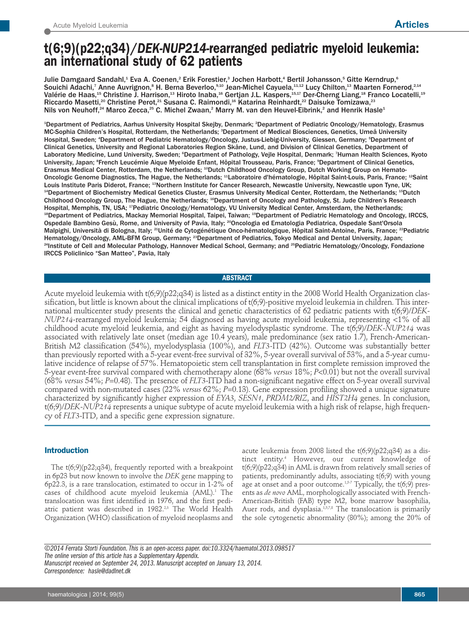# **t(6;9)(p22;q34)/***DEK-NUP214-***rearranged pediatric myeloid leukemia: an international study of 62 patients**

Julie Damgaard Sandahl,<sup>1</sup> Eva A. Coenen,<sup>2</sup> Erik Forestier,<sup>3</sup> Jochen Harbott,<sup>4</sup> Bertil Johansson,<sup>5</sup> Gitte Kerndrup,<sup>6</sup> Souichi Adachi,<sup>7</sup> Anne Auvrignon,<sup>s</sup> H. Berna Beverloo,<sup>s,10</sup> Jean-Michel Cayuela,<sup>11,12</sup> Lucy Chilton,<sup>13</sup> Maarten Fornerod,<sup>2,14</sup> Valérie de Haas, $^{15}$  Christine J. Harrison, $^{13}$  Hiroto Inaba, $^{16}$  Gertjan J.L. Kaspers, $^{15,17}$  Der-Cherng Liang, $^{18}$  Franco Locatelli, $^{19}$ Riccardo Masetti,<sup>20</sup> Christine Perot,<sup>21</sup> Susana C. Raimondi,<sup>16</sup> Katarina Reinhardt,<sup>22</sup> Daisuke Tomizawa,<sup>23</sup> Nils von Neuhoff, $^{24}$  Marco Zecca, $^{25}$  C. Michel Zwaan, $^2$  Marry M. van den Heuvel-Eibrink, $^2$  and Henrik Hasle $^4$ 

<sup>1</sup>Department of Pediatrics, Aarhus University Hospital Skejby, Denmark; <sup>2</sup>Department of Pediatric Oncology/Hematology, Erasmus MC-Sophia Children's Hospital, Rotterdam, the Netherlands; <sup>3</sup>Department of Medical Biosciences, Genetics, Umeå University Hospital, Sweden; "Department of Pediatric Hematology/Oncology, Justus-Liebig-University, Giessen, Germany; <sup>s</sup>Department of Clinical Genetics, University and Regional Laboratories Region Skåne, Lund, and Division of Clinical Genetics, Department of Laboratory Medicine, Lund University, Sweden; °Department of Pathology, Vejle Hospital, Denmark; 'Human Health Sciences, Kyoto University, Japan; <sup>8</sup> French Leucémie Aique Myeloide Enfant, Hôpital Trousseau, Paris, France; <sup>9</sup> Department of Clinical Genetics, Erasmus Medical Center, Rotterdam, the Netherlands; <sup>10</sup>Dutch Childhood Oncology Group, Dutch Working Group on Hemato-Oncologic Genome Diagnostics, The Hague, the Netherlands; <sup>11</sup>Laboratoire d'hématologie, Hôpital Saint-Louis, Paris, France; <sup>12</sup>Saint Louis Institute Paris Diderot, France; <sup>13</sup>Northern Institute for Cancer Research, Newcastle University, Newcastle upon Tyne, UK; <sup>14</sup>Department of Biochemistry Medical Genetics Cluster, Erasmus University Medical Center, Rotterdam, the Netherlands; <sup>15</sup>Dutch Childhood Oncology Group, The Hague, the Netherlands; <sup>16</sup>Department of Oncology and Pathology, St. Jude Children's Research Hospital, Memphis, TN, USA; <sup>17</sup>Pediatric Oncology/Hematology, VU University Medical Center, Amsterdam, the Netherlands; <sup>18</sup>Department of Pediatrics, Mackay Memorial Hospital, Taipei, Taiwan; <sup>19</sup>Department of Pediatric Hematology and Oncology, IRCCS, Ospedale Bambino Gesù, Rome, and University of Pavia, Italy; <sup>20</sup>Oncologia ed Ematologia Pediatrica, Ospedale Sant'Orsola Malpighi, Università di Bologna, Italy; <sup>21</sup>Unité de Cytogénétique Onco-hématologique, Hôpital Saint-Antoine, Paris, France; <sup>22</sup>Pediatric Hematology/Oncology, AML-BFM Group, Germany; <sup>23</sup>Department of Pediatrics, Tokyo Medical and Dental University, Japan; <sup>24</sup>Institute of Cell and Molecular Pathology, Hannover Medical School, Germany; and <sup>25</sup>Pediatric Hematology/Oncology, Fondazione IRCCS Policlinico "San Matteo", Pavia, Italy

## **ABSTRACT**

Acute myeloid leukemia with t(6;9)(p22;q34) is listed as a distinct entity in the 2008 World Health Organization classification, but little is known about the clinical implications of t(6;9)-positive myeloid leukemia in children. This international multicenter study presents the clinical and genetic characteristics of 62 pediatric patients with t(6;9)/*DEK-NUP214*-rearranged myeloid leukemia; 54 diagnosed as having acute myeloid leukemia, representing <1% of all childhood acute myeloid leukemia, and eight as having myelodysplastic syndrome. The t(6;9)/*DEK-NUP214* was associated with relatively late onset (median age 10.4 years), male predominance (sex ratio 1.7), French-American-British M2 classification (54%), myelodysplasia (100%), and *FLT3-*ITD (42%). Outcome was substantially better than previously reported with a 5-year event-free survival of 32%, 5-year overall survival of 53%, and a 5-year cumulative incidence of relapse of 57%. Hematopoietic stem cell transplantation in first complete remission improved the 5-year event-free survival compared with chemotherapy alone (68% *versus* 18%; *P*<0.01) but not the overall survival (68% *versus* 54%; *P*=0.48). The presence of *FLT3*-ITD had a non-significant negative effect on 5-year overall survival compared with non-mutated cases (22% *versus* 62%; *P*=0.13). Gene expression profiling showed a unique signature characterized by significantly higher expression of *EYA3*, *SESN1*, *PRDM2/RIZ*, and *HIST2H4* genes. In conclusion, t(6;9)/*DEK-NUP214* represents a unique subtype of acute myeloid leukemia with a high risk of relapse, high frequency of *FLT3*-ITD, and a specific gene expression signature.

## **Introduction**

The  $t(6,9)(p22,q34)$ , frequently reported with a breakpoint in 6p23 but now known to involve the *DEK* gene mapping to 6p22.3, is a rare translocation, estimated to occur in 1-2% of cases of childhood acute myeloid leukemia (AML). <sup>1</sup> The translocation was first identified in 1976, and the first pediatric patient was described in 1982.<sup>2,3</sup> The World Health Organization (WHO) classification of myeloid neoplasms and acute leukemia from 2008 listed the t(6;9)(p22;q34) as a distinct entity. <sup>4</sup> However, our current knowledge of t(6;9)(p22;q34) in AML is drawn from relatively small series of patients, predominantly adults, associating t(6;9) with young age at onset and a poor outcome. $^{1,5,7}$  Typically, the t(6;9) presents as *de novo* AML, morphologically associated with French-American-British (FAB) type M2, bone marrow basophilia, Auer rods, and dysplasia.<sup>1,5,7,8</sup> The translocation is primarily the sole cytogenetic abnormality (80%); among the 20% of

*©2014 Ferrata Storti Foundation.This is an open-access paper.doi:10.3324/haematol.2013.098517* The online version of this article has a Supplementary Appendix.<br>Manuscript received on September 24, 2013. Manuscript accepted on January 13, 2014. *Correspondence: hasle@dadlnet.dk*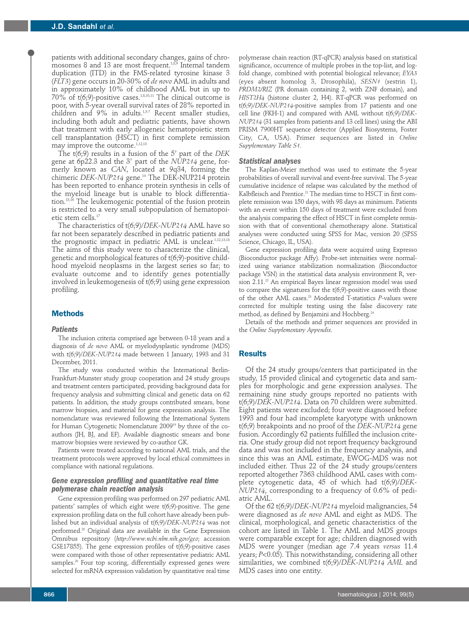patients with additional secondary changes, gains of chromosomes 8 and 13 are most frequent.<sup>1,8,9</sup> Internal tandem duplication (ITD) in the FMS-related tyrosine kinase 3 (*FLT3*) gene occurs in 20-30% of *de novo* AML in adults and in approximately 10% of childhood AML but in up to 70% of t(6;9)-positive cases. $^{1,8,10,11}$  The clinical outcome is poor, with 5-year overall survival rates of 28% reported in children and 9% in adults. 1,5-7 Recent smaller studies, including both adult and pediatric patients, have shown that treatment with early allogeneic hematopoietic stem cell transplantation (HSCT) in first complete remission may improve the outcome. 1,12,13

The t(6;9) results in a fusion of the 5' part of the *DEK* gene at 6p22.3 and the 3' part of the *NUP214* gene, formerly known as *CAN*, located at 9q34, forming the chimeric *DEK-NUP214* gene. <sup>14</sup> The DEK-NUP214 protein has been reported to enhance protein synthesis in cells of the myeloid lineage but is unable to block differentiation. 15,16 The leukemogenic potential of the fusion protein is restricted to a very small subpopulation of hematopoietic stem cells. 17

The characteristics of t(6;9)/*DEK-NUP214* AML have so far not been separately described in pediatric patients and the prognostic impact in pediatric AML is unclear. 1,12,13,18 The aims of this study were to characterize the clinical, genetic and morphological features of t(6;9)-positive childhood myeloid neoplasms in the largest series so far; to evaluate outcome and to identify genes potentially involved in leukemogenesis of t(6;9) using gene expression profiling.

## **Methods**

#### *Patients*

The inclusion criteria comprised age between 0-18 years and a diagnosis of *de novo* AML or myelodysplastic syndrome (MDS) with t(6;9)/*DEK-NUP214* made between 1 January, 1993 and 31 December, 2011.

The study was conducted within the International Berlin-Frankfurt-Munster study group cooperation and 24 study groups and treatment centers participated, providing background data for frequency analysis and submitting clinical and genetic data on 62 patients. In addition, the study groups contributed smears, bone marrow biopsies, and material for gene expression analysis. The nomenclature was reviewed following the International System for Human Cytogenetic Nomenclature 2009<sup>19</sup> by three of the coauthors (JH, BJ, and EF). Available diagnostic smears and bone marrow biopsies were reviewed by co-author GK.

Patients were treated according to national AML trials, and the treatment protocols were approved by local ethical committees in compliance with national regulations.

## *Gene expression profiling and quantitative real time polymerase chain reaction analysis*

Gene expression profiling was performed on 297 pediatric AML patients' samples of which eight were t(6;9)-positive. The gene expression profiling data on the full cohort have already been published but an individual analysis of t(6;9)/*DEK-NUP214* was not performed. <sup>20</sup> Original data are available in the Gene Expression Omnibus repository (*http://www.ncbi.nlm.nih.gov/geo*; accession GSE17855). The gene expression profiles of t(6;9)-positive cases were compared with those of other representative pediatric AML samples. <sup>20</sup> Four top scoring, differentially expressed genes were selected for mRNA expression validation by quantitative real time

polymerase chain reaction (RT-qPCR) analysis based on statistical significance, occurrence of multiple probes in the top-list, and logfold change, combined with potential biological relevance; *EYA3* (eyes absent homolog 3, Drosophila), *SESN1* (sestrin 1), *PRDM2/RIZ* (PR domain containing 2, with ZNF domain), and *HIST2H4* (histone cluster 2, H4). RT-qPCR was performed on t(6;9)/*DEK-NUP214*-positive samples from 17 patients and one cell line (FKH-1) and compared with AML without t(6;9)/*DEK-NUP214* (31 samples from patients and 13 cell lines) using the ABI PRISM 7900HT sequence detector (Applied Biosystems, Foster City, CA, USA). Primer sequences are listed in *Online Supplementary Table S1.*

#### *Statistical analyses*

The Kaplan-Meier method was used to estimate the 5-year probabilities of overall survival and event-free survival. The 5-year cumulative incidence of relapse was calculated by the method of Kalbfleisch and Prentice. <sup>21</sup> The median time to HSCT in first complete remission was 150 days, with 98 days as minimum. Patients with an event within 150 days of treatment were excluded from the analysis comparing the effect of HSCT in first complete remission with that of conventional chemotherapy alone. Statistical analyses were conducted using SPSS for Mac, version 20 (SPSS Science, Chicago, IL, USA).

Gene expression profiling data were acquired using Expresso (Bioconductor package Affy). Probe-set intensities were normalized using variance stabilization normalization (Bioconductor package VSN) in the statistical data analysis environment R, version 2.11. <sup>22</sup> An empirical Bayes linear regression model was used to compare the signatures for the t(6;9)-positive cases with those of the other AML cases. <sup>23</sup> Moderated T-statistics *P*-values were corrected for multiple testing using the false discovery rate method, as defined by Benjamini and Hochberg. 24

Details of the methods and primer sequences are provided in the *Online Supplementary Appendix.*

## **Results**

Of the 24 study groups/centers that participated in the study, 15 provided clinical and cytogenetic data and samples for morphologic and gene expression analyses. The remaining nine study groups reported no patients with t(6;9)/*DEK-NUP214*. Data on 70 children were submitted. Eight patients were excluded; four were diagnosed before 1993 and four had incomplete karyotype with unknown t(6;9) breakpoints and no proof of the *DEK-NUP214* gene fusion. Accordingly 62 patients fulfilled the inclusion criteria. One study group did not report frequency background data and was not included in the frequency analysis, and since this was an AML estimate, EWOG-MDS was not included either. Thus 22 of the 24 study groups/centers reported altogether 7363 childhood AML cases with complete cytogenetic data, 45 of which had t(6;9)/*DEK-NUP214*, corresponding to a frequency of 0.6% of pediatric AML.

Of the 62 t(6;9)/*DEK-NUP214* myeloid malignancies, 54 were diagnosed as *de novo* AML and eight as MDS. The clinical, morphological, and genetic characteristics of the cohort are listed in Table 1. The AML and MDS groups were comparable except for age; children diagnosed with MDS were younger (median age 7.4 years *versus* 11.4 years; *P*<0.05). This notwithstanding, considering all other similarities, we combined t(6;9)/*DEK-NUP214 AML* and MDS cases into one entity.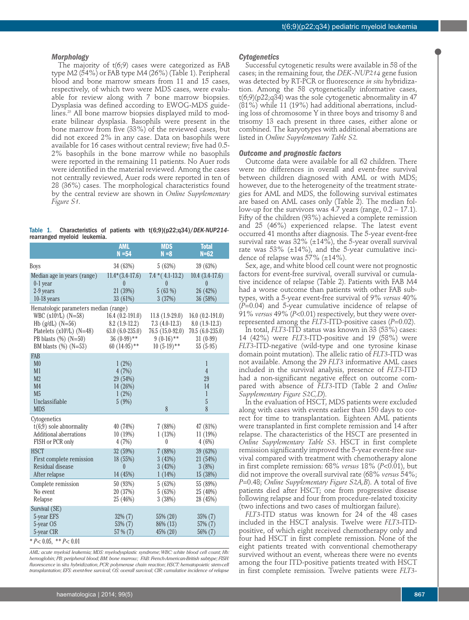#### *Morphology*

The majority of t(6;9) cases were categorized as FAB type M2 (54%) or FAB type M4 (26%) (Table 1). Peripheral blood and bone marrow smears from 11 and 15 cases, respectively, of which two were MDS cases, were evaluable for review along with 7 bone marrow biopsies. Dysplasia was defined according to EWOG-MDS guidelines. <sup>25</sup> All bone marrow biopsies displayed mild to moderate bilinear dysplasia. Basophils were present in the bone marrow from five (33%) of the reviewed cases, but did not exceed 2% in any case. Data on basophils were available for 16 cases without central review; five had 0.5- 2% basophils in the bone marrow while no basophils were reported in the remaining 11 patients. No Auer rods were identified in the material reviewed. Among the cases not centrally reviewed, Auer rods were reported in ten of 28 (36%) cases. The morphological characteristics found by the central review are shown in *Online Supplementary Figure S1.*

| Table 1. |                              |  |  | Characteristics of patients with $t(6,9)(p22,q34)/DEK-NUP214$ |
|----------|------------------------------|--|--|---------------------------------------------------------------|
|          | rearranged myeloid leukemia. |  |  |                                                               |

|                                                                                                                                                                                           | <b>AML</b><br>$N = 54$                                                                         | <b>MDS</b><br>$N = 8$                                                                   | <b>Total</b><br>$N=62$                                                                |  |
|-------------------------------------------------------------------------------------------------------------------------------------------------------------------------------------------|------------------------------------------------------------------------------------------------|-----------------------------------------------------------------------------------------|---------------------------------------------------------------------------------------|--|
| Boys                                                                                                                                                                                      | 34 (63%)                                                                                       | 5(63%)                                                                                  | 39 (63%)                                                                              |  |
| Median age in years (range)<br>$0-1$ year<br>2-9 years<br>$10-18$ years                                                                                                                   | $11.4*(3.4-17.6)$<br>$\theta$<br>21 (39%)<br>33 (61%)                                          | $7.4*(4.1-13.2)$<br>$\theta$<br>5(63%)<br>3(37%)                                        | $10.4(3.4-17.6)$<br>$\theta$<br>26 (42%)<br>36(58%)                                   |  |
| Hematologic parameters median (range)<br>WBC $(x10^9/L)$ $(N=58)$<br>Hb $(g/dL)$ $(N=56)$<br>Platelets (x10 <sup>9</sup> /L) (N=48)<br>PB blasts $(\%)$ (N=50)<br>BM blasts $(\%)$ (N=53) | $16.4(0.2-191.0)$<br>$8.2(1.9-12.2)$<br>$63.0 (6.0-235.0)$<br>$36(0-99)$ **<br>60 $(14-95)$ ** | $11.8(1.9-29.0)$<br>$7.3(4.0-12.3)$<br>76.5 (15.0-92.0)<br>$9(0-16)**$<br>$10(5-19)$ ** | $16.0(0.2-191.0)$<br>$8.0(1.9-12.3)$<br>$70.5(6.0-235.0)$<br>$31(0-99)$<br>$55(5-95)$ |  |
| FAB                                                                                                                                                                                       |                                                                                                |                                                                                         |                                                                                       |  |
| M <sub>0</sub><br>M1<br>M <sub>2</sub><br>M <sub>4</sub><br>M <sub>5</sub><br>Unclassifiable<br><b>MDS</b>                                                                                | 1(2%)<br>4(7%)<br>29 (54%)<br>14 (26%)<br>1(2%)<br>5(9%)                                       | 8                                                                                       | 1<br>$\overline{4}$<br>29<br>14<br>1<br>5<br>8                                        |  |
| Cytogenetics                                                                                                                                                                              |                                                                                                |                                                                                         |                                                                                       |  |
| $t(6,9)$ sole abnormality<br>Additional aberrations<br>FISH or PCR only                                                                                                                   | 40 (74%)<br>10(19%)<br>4(7%)                                                                   | 7(88%)<br>1(13%)<br>0                                                                   | 47 (81%)<br>11(19%)<br>4(6%)                                                          |  |
| <b>HSCT</b>                                                                                                                                                                               | 32 (59%)                                                                                       | 7(88%)                                                                                  | 39 (63%)                                                                              |  |
| First complete remission<br>Residual disease<br>After relapse                                                                                                                             | 18 (55%)<br>$\theta$<br>14 (45%)                                                               | 3(43%)<br>3(43%)<br>1(14%)                                                              | 21 (54%)<br>3(8%)<br>15 (38%)                                                         |  |
| Complete remission<br>No event<br>Relapse                                                                                                                                                 | 50 (93%)<br>20 (37%)<br>25 (46%)                                                               | 5(63%)<br>5(63%)<br>3(38%)                                                              | 55 (89%)<br>25 (40%)<br>28 (45%)                                                      |  |
| Survival (SE)<br>5-year EFS<br>5-year OS<br>5-year CIR                                                                                                                                    | 32% (7)<br>53% (7)<br>57 % (7)                                                                 | 55% (20)<br>86\% (13)<br>45% (20)                                                       | 35% (7)<br>57% (7)<br>56% (7)                                                         |  |
| $* P < 0.05$ , $* P < 0.01$                                                                                                                                                               |                                                                                                |                                                                                         |                                                                                       |  |

*AML: acute myeloid leukemia; MDS: myelodysplastic syndrome;WBC: white blood cell count; Hb: hemoglobin; PB: peripheral blood; BM: bone marrow; FAB: French-American-British subtype; FISH: fluorescence* in situ *hybridization,PCR: polymerase chain reaction; HSCT: hematopoietic stem-cell transplantation; EFS: event-free survival; OS: overall survival; CIR: cumulative incidence of relapse*

#### *Cytogenetics*

Successful cytogenetic results were available in 58 of the cases; in the remaining four, the *DEK-NUP214* gene fusion was detected by RT-PCR or fluorescence *in situ* hybridization. Among the 58 cytogenetically informative cases, t(6;9)(p22;q34) was the sole cytogenetic abnormality in 47 (81%) while 11 (19%) had additional aberrations, including loss of chromosome Y in three boys and trisomy 8 and trisomy 13 each present in three cases, either alone or combined. The karyotypes with additional aberrations are listed in *Online Supplementary Table S2.*

#### *Outcome and prognostic factors*

Outcome data were available for all 62 children. There were no differences in overall and event-free survival between children diagnosed with AML or with MDS; however, due to the heterogeneity of the treatment strategies for AML and MDS, the following survival estimates are based on AML cases only (Table 2). The median follow-up for the survivors was  $4.7$  years (range,  $0.2 - 17.1$ ). Fifty of the children (93%) achieved a complete remission and 25 (46%) experienced relapse. The latest event occurred 41 months after diagnosis. The 5-year event-free survival rate was  $32\%$  ( $\pm 14\%$ ), the 5-year overall survival rate was  $53\%$  ( $\pm 14\%$ ), and the 5-year cumulative incidence of relapse was  $57\%$  ( $\pm$ 14%).

Sex, age, and white blood cell count were not prognostic factors for event-free survival, overall survival or cumulative incidence of relapse (Table 2). Patients with FAB M4 had a worse outcome than patients with other FAB subtypes, with a 5-year event-free survival of 9% *versus* 40% (*P*=0.04) and 5-year cumulative incidence of relapse of 91% *versus* 49% (*P*<0.01) respectively, but they were overrepresented among the *FLT3*-ITD-positive cases (*P*=0.02).

In total, *FLT3*-ITD status was known in 33 (53%) cases: 14 (42%) were *FLT3*-ITD-positive and 19 (58%) were *FLT3*-ITD-negative (wild-type and one tyrosine kinase domain point mutation). The allelic ratio of *FLT3*-ITD was not available. Among the 29 *FLT3* informative AML cases included in the survival analysis, presence of *FLT3*-ITD had a non-significant negative effect on outcome compared with absence of *FLT3*-ITD (Table 2 and *Online Supplementary Figure S2C,D*).

In the evaluation of HSCT, MDS patients were excluded along with cases with events earlier than 150 days to correct for time to transplantation. Eighteen AML patients were transplanted in first complete remission and 14 after relapse. The characteristics of the HSCT are presented in *Online Supplementary Table S3*. HSCT in first complete remission significantly improved the 5-year event-free survival compared with treatment with chemotherapy alone in first complete remission: 68% *versus* 18% (*P*<0.01), but did not improve the overall survival rate (68% *versus* 54%; *P*=0.48; *Online Supplementary Figure S2A,B*). A total of five patients died after HSCT; one from progressive disease following relapse and four from procedure-related toxicity (two infections and two cases of multiorgan failure).

*FLT3*-ITD status was known for 24 of the 48 cases included in the HSCT analysis. Twelve were *FLT3*-ITDpositive, of which eight received chemotherapy only and four had HSCT in first complete remission. None of the eight patients treated with conventional chemotherapy survived without an event, whereas there were no events among the four ITD-positive patients treated with HSCT in first complete remission. Twelve patients were *FLT3*-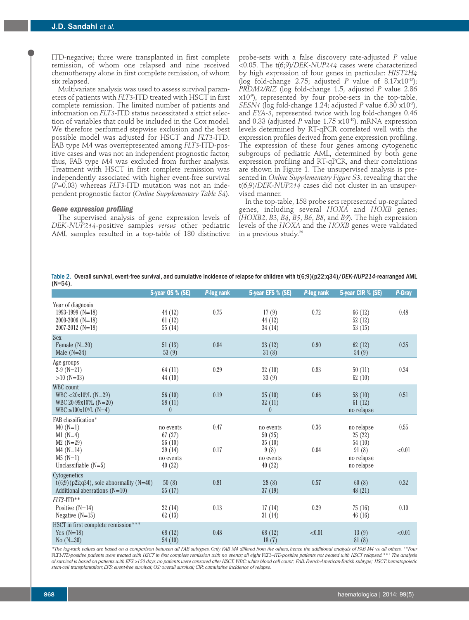ITD-negative; three were transplanted in first complete remission, of whom one relapsed and nine received chemotherapy alone in first complete remission, of whom six relapsed.

Multivariate analysis was used to assess survival parameters of patients with *FLT3*-ITD treated with HSCT in first complete remission. The limited number of patients and information on *FLT3*-ITD status necessitated a strict selection of variables that could be included in the Cox model. We therefore performed stepwise exclusion and the best possible model was adjusted for HSCT and *FLT3*-ITD. FAB type M4 was overrepresented among *FLT3*-ITD-positive cases and was not an independent prognostic factor; thus, FAB type M4 was excluded from further analysis. Treatment with HSCT in first complete remission was independently associated with higher event-free survival (*P*=0.03) whereas *FLT3*-ITD mutation was not an independent prognostic factor (*Online Supplementary Table S4*).

#### *Gene expression profiling*

The supervised analysis of gene expression levels of *DEK-NUP214*-positive samples *versus* other pediatric AML samples resulted in a top-table of 180 distinctive

probe-sets with a false discovery rate-adjusted *P* value <0.05. The t(6;9)/*DEK-NUP214* cases were characterized by high expression of four genes in particular: *HIST2H4* (log fold-change  $2.75$ ; adjusted P value of  $8.17 \times 10^{-15}$ ); *PRDM2/RIZ* (log fold-change 1.5, adjusted *P* value 2.86 x10-9 ), represented by four probe-sets in the top-table, *SESN1* (log fold-change 1.24; adjusted *P* value 6.30 x10-5 ), and *EYA-3*, represented twice with log fold-changes 0.46 and 0.33 (adjusted *P* value 1.75 x10-10 ). mRNA expression levels determined by RT-qPCR correlated well with the expression profiles derived from gene expression profiling. The expression of these four genes among cytogenetic subgroups of pediatric AML, determined by both gene expression profiling and RT-qPCR, and their correlations are shown in Figure 1. The unsupervised analysis is presented in *Online Supplementary Figure S3*, revealing that the t(6;9)/*DEK-NUP214* cases did not cluster in an unsupervised manner.

In the top-table, 158 probe sets represented up-regulated genes, including several *HOXA* and *HOXB* genes; (*HOXB2*, *B3*, *B4*, *B5*, *B6*, *B8*, and *B9*). The high expression levels of the *HOXA* and the *HOXB* genes were validated in a previous study. 26

Table 2. Overall survival, event-free survival, and cumulative incidence of relapse for children with t(6;9)(p22;q34)/*DEK-NUP214*-rearranged AML (N=54).

|                                                                                                          | 5-year OS % (SE)              | P-log rank | 5-year EFS % (SE)             | P-log rank | 5-year CIR % (SE)                 | P-Gray |
|----------------------------------------------------------------------------------------------------------|-------------------------------|------------|-------------------------------|------------|-----------------------------------|--------|
| Year of diagnosis<br>1993-1999 ( $N=18$ )<br>$2000 - 2006$ (N=18)<br>$2007 - 2012$ (N=18)                | 44 (12)<br>61(12)<br>55(14)   | 0.75       | 17(9)<br>44 (12)<br>34 (14)   | 0.72       | 66(12)<br>52(12)<br>53(15)        | 0.48   |
| Sex<br>Female $(N=20)$<br>Male $(N=34)$                                                                  | 51(13)<br>53(9)               | 0.84       | 33(12)<br>31(8)               | 0.90       | 62(12)<br>54(9)                   | 0.35   |
| Age groups<br>$2-9(N=21)$<br>$>10$ (N=33)                                                                | 64(11)<br>44 $(10)$           | 0.29       | 32(10)<br>33(9)               | $0.83\,$   | 50(11)<br>62(10)                  | 0.34   |
| <b>WBC</b> count<br>$WBC < 20x10^9/L (N=29)$<br>WBC 20-99 $x10^9/L$ (N=20)<br>$WBC \ge 100x10^9/L (N=4)$ | 56(10)<br>58(11)<br>$\theta$  | 0.19       | 35(10)<br>32(11)<br>$\theta$  | 0.66       | 58(10)<br>61(12)<br>no relapse    | 0.51   |
| FAB classification*<br>$M0(N=1)$<br>$M1(N=4)$<br>$M2(N=29)$                                              | no events<br>67(27)<br>56(10) | 0.47       | no events<br>50(25)<br>35(10) | 0.36       | no relapse<br>25(22)<br>54(10)    | 0.55   |
| $M4(N=14)$<br>$M5(N=1)$<br>Unclassifiable $(N=5)$                                                        | 39(14)<br>no events<br>40(22) | 0.17       | 9(8)<br>no events<br>40(22)   | 0.04       | 91(8)<br>no relapse<br>no relapse | < 0.01 |
| Cytogenetics<br>$t(6,9)$ (p22;q34), sole abnormality (N=40)<br>Additional aberrations $(N=10)$           | 50(8)<br>55(17)               | 0.81       | 28(8)<br>37(19)               | 0.57       | 60(8)<br>48 (21)                  | 0.32   |
| $FLT3$ -ITD**<br>Positive $(N=14)$<br>Negative $(N=15)$                                                  | 22(14)<br>62(13)              | 0.13       | 17(14)<br>31(14)              | 0.29       | 75(16)<br>46(16)                  | 0.10   |
| HSCT in first complete remission***<br>Yes $(N=18)$<br>No $(N=30)$                                       | 68 (12)<br>54(10)             | 0.48       | 68 (12)<br>18(7)              | < 0.01     | 13(9)<br>81(8)                    | < 0.01 |

\*The log-rank values are based on a comparison between all FAB subtypes. Only FAB M4 differed from the others, hence the additional analysis of FAB M4 vs. all others. \*\*Four FLT3-ITD-positive patients were treated with HSCT in first complete remission with no events; all eight FLT3-ITD-positive patients not treated with HSCT relapsed.\*\*\* The analysis of survival is based on patients with EFS >150 days, no patients were censored after HSCT. WBC: white blood cell count; FAB: French-American-British subtype; HSCT: hematopoietic *stem-cell transplantation; EFS: event-free survival; OS: overall survival; CIR: cumulative incidence of relapse.*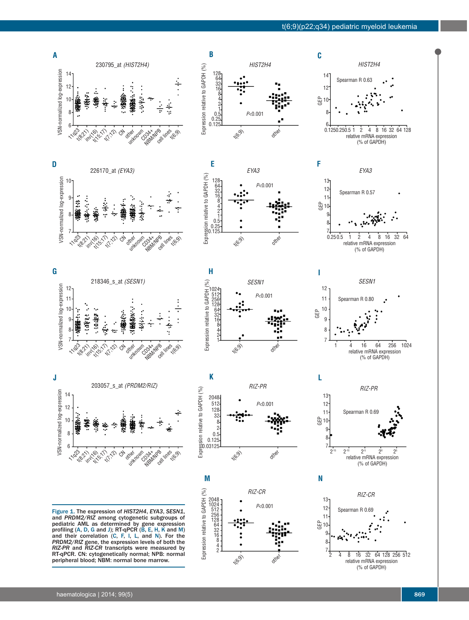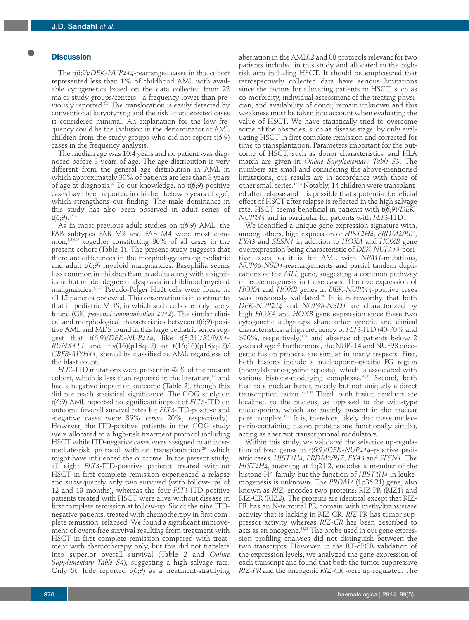### **Discussion**

The t(6;9)/*DEK-NUP214*-rearranged cases in this cohort represented less than 1% of childhood AML with available cytogenetics based on the data collected from 22 major study groups/centers - a frequency lower than previously reported. 1,5 The translocation is easily detected by conventional karyotyping and the risk of undetected cases is considered minimal. An explanation for the low frequency could be the inclusion in the denominator of AML children from the study groups who did not report  $t(6,9)$ cases in the frequency analysis.

The median age was 10.4 years and no patient was diagnosed before 3 years of age. The age distribution is very different from the general age distribution in AML in which approximately 30% of patients are less than 3 years of age at diagnosis. <sup>27</sup> To our knowledge, no t(6;9)-positive cases have been reported in children below 3 years of age<sup>9</sup>, which strengthens our finding. The male dominance in this study has also been observed in adult series of  $t(6,9)$ .<sup>1,5,7</sup>

As in most previous adult studies on t(6;9) AML, the FAB subtypes FAB M2 and FAB M4 were most common, 1,5,6,28 together constituting 80% of all cases in the present cohort (Table 1). The present study suggests that there are differences in the morphology among pediatric and adult t(6;9) myeloid malignancies. Basophilia seems less common in children than in adults along with a significant but milder degree of dysplasia in childhood myeloid malignancies. 1,7,28 Pseudo-Pelger Huët cells were found in all 15 patients reviewed. This observation is in contrast to that in pediatric MDS, in which such cells are only rarely found (GK, *personal communication 2012*). The similar clinical and morphological characteristics between t(6;9)-positive AML and MDS found in this large pediatric series suggest that t(6;9)/*DEK-NUP214*, like t(8;21)/*RUNX1- RUNX1T1* and inv(16)(p13q22) or t(16;16)(p13;q22)/ *CBFB-MYH11*, should be classified as AML regardless of the blast count.

*FLT3*-ITD mutations were present in 42% of the present cohort, which is less than reported in the literature, 1,6 and had a negative impact on outcome (Table 2), though this did not reach statistical significance. The COG study on t(6;9) AML reported no significant impact of *FLT3*-ITD on outcome (overall survival rates for *FLT3*-ITD-positive and -negative cases were 39% *versus* 20%, respectively). However, the ITD-positive patients in the COG study were allocated to a high-risk treatment protocol including HSCT while ITD-negative cases were assigned to an intermediate-risk protocol without transplantation, <sup>29</sup> which might have influenced the outcome. In the present study, all eight *FLT3*-ITD-positive patients treated without HSCT in first complete remission experienced a relapse and subsequently only two survived (with follow-ups of 12 and 13 months), whereas the four *FLT3*-ITD-positive patients treated with HSCT were alive without disease in first complete remission at follow-up. Six of the nine ITDnegative patients, treated with chemotherapy in first complete remission, relapsed. We found a significant improvement of event-free survival resulting from treatment with HSCT in first complete remission compared with treatment with chemotherapy only, but this did not translate into superior overall survival (Table 2 and *Online Supplementary Table S4*), suggesting a high salvage rate. Only St. Jude reported t(6;9) as a treatment-stratifying

aberration in the AML02 and 08 protocols relevant for two patients included in this study and allocated to the highrisk arm including HSCT. It should be emphasized that retrospectively collected data have serious limitations since the factors for allocating patients to HSCT, such as co-morbidity, individual assessment of the treating physician, and availability of donor, remain unknown and this weakness must be taken into account when evaluating the value of HSCT. We have statistically tried to overcome some of the obstacles, such as disease stage, by only evaluating HSCT in first complete remission and corrected for time to transplantation. Parameters important for the outcome of HSCT, such as donor characteristics, and HLA match are given in *Online Supplementary Table S3*. The numbers are small and considering the above-mentioned limitations, our results are in accordance with those of other small series. 12,13 Notably, 14 children were transplanted after relapse and it is possible that a potential beneficial effect of HSCT after relapse is reflected in the high salvage rate. HSCT seems beneficial in patients with t(6;9)/*DEK-NUP214* and in particular for patients with *FLT3*-ITD.

We identified a unique gene expression signature with, among others, high expression of *HIST2H4*, *PRDM2/RIZ*, *EYA3* and *SESN1* in addition to *HOXA* and *HOXB* gene overexpression being characteristic of *DEK-NUP214*-positive cases, as it is for AML with *NPM1*-mutations, *NUP98-NSD1*-rearrangements and partial tandem duplications of the *MLL* gene, suggesting a common pathway of leukemogenesis in these cases. The overexpression of *HOXA* and *HOXB* genes in *DEK-NUP214*-positive cases was previously validated. <sup>26</sup> It is noteworthy that both *DEK-NUP214* and *NUP98-NSD1* are characterized by high *HOXA* and *HOXB* gene expression since these two cytogenetic subgroups share other genetic and clinical characteristics: a high frequency of *FLT3*-ITD (40-70% and  $>$ 90%, respectively) $^{1,26}$  and absence of patients below 2 years of age. <sup>26</sup> Furthermore, the NUP214 and NUP98 oncogenic fusion proteins are similar in many respects. First, both fusions include a nucleoporin-specific FG region (phenylalanine-glycine repeats), which is associated with various histone-modifying complexes. 30,31 Second, both fuse to a nuclear factor, mostly but not uniquely a direct transcription factor. 14,31,32 Third, both fusion products are localized to the nucleus, as opposed to the wild-type nucleoporins, which are mainly present in the nuclear pore complex. 31,33 It is, therefore, likely that these nucleoporin-containing fusion proteins are functionally similar, acting as aberrant transcriptional modulators.

Within this study, we validated the selective up-regulation of four genes in t(6;9)/*DEK-NUP214*–positive pediatric cases: *HIST2H4*, *PRDM2/RIZ*, *EYA3* and *SESN1*. The *HIST2H4*, mapping at 1q21.2, encodes a member of the histone H4 family but the function of *HIST2H4* in leukemogenesis is unknown. The *PRDM2* (1p36.21) gene, also known as *RIZ,* encodes two proteins: RIZ-PR (RIZ1) and RIZ-CR (RIZ2). The proteins are identical except that RIZ-PR has an N-terminal PR domain with methyltransferase activity that is lacking in RIZ-CR. *RIZ*-PR has tumor suppressor activity whereas *RIZ-CR* has been described to acts as an oncogene. 34,35 The probe used in our gene expression profiling analyses did not distinguish between the two transcripts. However, in the RT-qPCR validation of the expression levels, we analyzed the gene expression of each transcript and found that both the tumor-suppressive *RIZ-PR* and the oncogenic *RIZ-CR* were up-regulated. The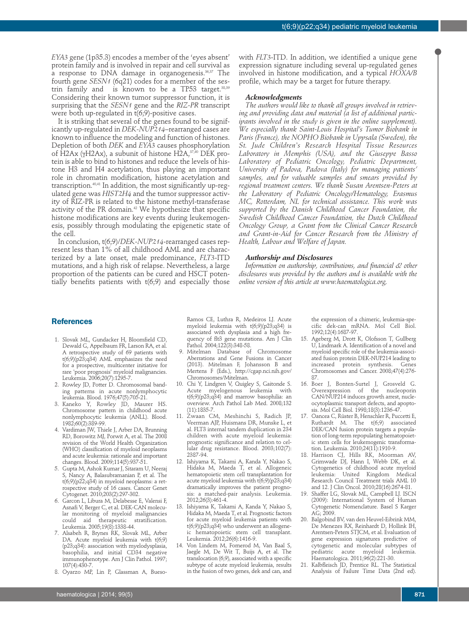*EYA3* gene (1p35.3) encodes a member of the 'eyes absent' protein family and is involved in repair and cell survival as a response to DNA damage in organogenesis. 36,37 The fourth gene *SESN1* (6q21) codes for a member of the sestrin family and is known to be a TP53 target.<sup>38,39</sup> Considering their known tumor suppressor function, it is surprising that the *SESN1* gene and the *RIZ-PR* transcript were both up-regulated in t(6;9)-positive cases.

It is striking that several of the genes found to be significantly up-regulated in *DEK-NUP214*–rearranged cases are known to influence the modeling and function of histones. Depletion of both *DEK* and *EYA3* causes phosphorylation of H2Ax (γH2Ax), a subunit of histone H2A, $^{37,40}$  DEK protein is able to bind to histones and reduce the levels of histone H3 and H4 acetylation, thus playing an important role in chromatin modification, histone acetylation and transcription. 40,41 In addition, the most significantly up-regulated gene was *HIST2H4* and the tumor suppressor activity of RIZ-PR is related to the histone methyl-transferase activity of the PR domain. <sup>42</sup> We hypothesize that specific histone modifications are key events during leukemogenesis, possibly through modulating the epigenetic state of the cell.

In conclusion, t(6;9)/*DEK-NUP214*-rearranged cases represent less than 1% of all childhood AML and are characterized by a late onset, male predominance, *FLT3*-ITD mutations, and a high risk of relapse. Nevertheless, a large proportion of the patients can be cured and HSCT potentially benefits patients with  $t(6,9)$  and especially those

with *FLT3*-ITD. In addition, we identified a unique gene expression signature including several up-regulated genes involved in histone modification, and a typical *HOXA/B* profile, which may be a target for future therapy.

#### *Acknowledgments*

*The authors would like to thank all groups involved in retrieving and providing data and material (a list of additional participants involved in the study is given in the online supplement). We especially thank Saint-Louis Hospital's Tumor Biobank in Paris (France), the NOPHO Biobank in Uppsala (Sweden), the St. Jude Children's Research Hospital Tissue Resources Laboratory in Memphis (USA), and the Giuseppe Basso Laboratory of Pediatric Oncology, Pediatric Department, University of Padova, Padova (Italy) for managing patients' samples, and for valuable samples and smears provided by regional treatment centers. We thank Susan Arentsen-Peters at the Laboratory of Pediatric Oncology/Hematology, Erasmus MC, Rotterdam, NL for technical assistance. This work was supported by the Danish Childhood Cancer Foundation, the Swedish Childhood Cancer Foundation, the Dutch Childhood Oncology Group, a Grant from the Clinical Cancer Research and Grant-in-Aid for Cancer Research from the Ministry of Health, Labour and Welfare of Japan.*

#### *Authorship and Disclosures*

*Information on authorship, contributions, and financial & other disclosures was provided by the authors and is available with the online version of this article at www.haematologica.org.*

## **References**

- 1. Slovak ML, Gundacker H, Bloomfield CD, Dewald G, Appelbaum FR, Larson RA, et al. A retrospective study of 69 patients with t(6;9)(p23;q34) AML emphasizes the need for a prospective, multicenter initiative for rare 'poor prognosis' myeloid malignancies. Leukemia. 2006;20(7):1295-7.
- 2. Rowley JD, Potter D. Chromosomal banding patterns in acute nonlymphocytic leukemia. Blood. 1976;47(5):705-21.
- 3. Kaneko Y, Rowley JD, Maurer HS. Chromosome pattern in childhood acute nonlymphocytic leukemia (ANLL). Blood. 1982;60(2):389-99.
- 4. Vardiman JW, Thiele J, Arber DA, Brunning RD, Borowitz MJ, Porwit A, et al. The 2008 revision of the World Health Organization (WHO) classification of myeloid neoplasms and acute leukemia: rationale and important changes. Blood. 2009;114(5):937-51.
- 5. Gupta M, Ashok Kumar J, Sitaram U, Neeraj S, Nancy A, Balasubramanian P, et al. The t(6;9)(p22;q34) in myeloid neoplasms: a retrospective study of 16 cases. Cancer Genet Cytogenet. 2010;203(2):297-302.
- 6. Garcon L, Libura M, Delabesse E, Valensi F, Asnafi V, Berger C, et al. DEK-CAN molecular monitoring of myeloid malignancies could aid therapeutic stratification. Leukemia. 2005;19(8):1338-44.
- 7. Alsabeh R, Brynes RK, Slovak ML, Arber DA. Acute myeloid leukemia with t(6;9) (p23;q34): association with myelodysplasia, basophilia, and initial CD34 negative immunophenotype. Am J Clin Pathol. 1997; 107(4):430-7.
- 8. Oyarzo MP, Lin P, Glassman A, Bueso-

Ramos CE, Luthra R, Medeiros LJ. Acute myeloid leukemia with t(6;9)(p23;q34) is associated with dysplasia and a high frequency of flt3 gene mutations. Am J Clin Pathol. 2004;122(3):348-58.

- 9. Mitelman Database of Chromosome Aberrations and Gene Fusions in Cancer (2013). Mitelman F, Johansson B and Mertens F (Eds.), http://cgap.nci.nih.gov/ Chromosomes/Mitelman.
- 10. Chi Y, Lindgren V, Quigley S, Gaitonde S. Acute myelogenous leukemia with t(6;9)(p23;q34) and marrow basophilia: an overview. Arch Pathol Lab Med. 2008;132 (11):1835-7.
- 11. Zwaan CM, Meshinchi S, Radich JP, Veerman AJP, Huismans DR, Munske L, et al. FLT3 internal tandem duplication in 234 children with acute myeloid leukemia: prognostic significance and relation to cellular drug resistance. Blood. 2003;102(7): 2387-94.
- 12. Ishiyama K, Takami A, Kanda Y, Nakao S, Hidaka M, Maeda T, et al. Allogeneic hematopoietic stem cell transplantation for acute myeloid leukemia with t(6;9)(p23;q34) dramatically improves the patient prognosis: a matched-pair analysis. Leukemia. 2012;26(3):461-4.
- 13. Ishiyama K, Takami A, Kanda Y, Nakao S, Hidaka M, Maeda T, et al. Prognostic factors for acute myeloid leukemia patients with t(6;9)(p23;q34) who underwent an allogeneic hematopoietic stem cell transplant. Leukemia. 2012;26(6):1416-9.
- 14. Von Lindern M, Fornerod M, Van Baal S, Jaegle M, De Wit T, Buijs A, et al. The translocation (6;9), associated with a specific subtype of acute myeloid leukemia, results in the fusion of two genes, dek and can, and

the expression of a chimeric, leukemia-specific dek-can mRNA. Mol Cell Biol. 1992;12(4):1687-97.

- 15. Ageberg M, Drott K, Olofsson T, Gullberg U, Lindmark A. Identification of a novel and myeloid specific role of the leukemia-associated fusion protein DEK-NUP214 leading to increased protein synthesis. Genes Chromosomes and Cancer. 2008;47(4):276- 87.
- 16. Boer J, Bonten-Surtel J, Grosveld G. Overexpression of the nucleoporin CAN/NUP214 induces growth arrest, nucleocytoplasmic transport defects, and apoptosis. Mol Cell Biol. 1998;18(3):1236-47.
- 17. Oancea C, Rüster B, Henschler R, Puccetti E, Ruthardt M. The t(6;9) associated DEK/CAN fusion protein targets a population of long-term repopulating hematopoietic stem cells for leukemogenic transformation. Leukemia. 2010;24(11):1910-9.
- 18. Harrison CJ, Hills RK, Moorman AV, Grimwade DJ, Hann I, Webb DK, et al. Cytogenetics of childhood acute myeloid leukemia: United Kingdom Medical Research Council Treatment trials AML 10 and 12. J Clin Oncol. 2010;28(16):2674-81.
- 19. Shaffer LG, Slovak ML, Campbell LJ. ISCN (2009): International System of Human Cytogenetic Nomenclature. Basel S Karger AG; 2009.
- 20. Balgobind BV, van den Heuvel-Eibrink MM, De Menezes RX, Reinhardt D, Hollink IH, Arentsen-Peters STJCM, et al. Evaluation of gene expression signatures predictive of cytogenetic and molecular subtypes of pediatric acute myeloid leukemia. Haematologica. 2011;96(2):221-30.
- 21. Kalbfleisch JD, Prentice RL. The Statistical Analysis of Failure Time Data (2nd ed).